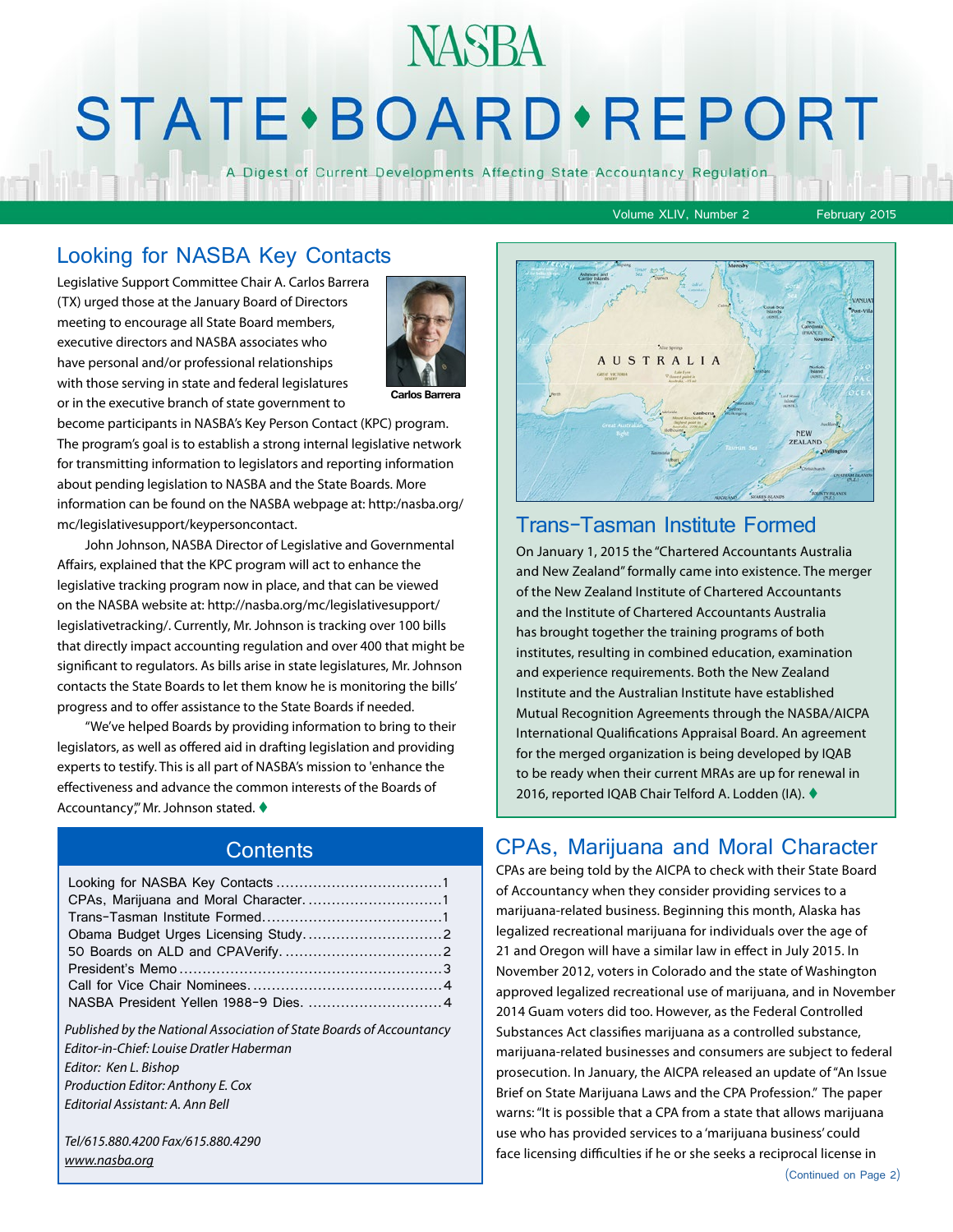## **NASBA STATE** · BOARD · REPORT

A Digest of Current Developments Affecting State Accountancy Regulation

Volume XLIV, Number 2 February 2015

#### Looking for NASBA Key Contacts

Legislative Support Committee Chair A. Carlos Barrera (TX) urged those at the January Board of Directors meeting to encourage all State Board members, executive directors and NASBA associates who have personal and/or professional relationships with those serving in state and federal legislatures or in the executive branch of state government to



become participants in NASBA's Key Person Contact (KPC) program. The program's goal is to establish a strong internal legislative network for transmitting information to legislators and reporting information about pending legislation to NASBA and the State Boards. More information can be found on the NASBA webpage at: http:/nasba.org/ mc/legislativesupport/keypersoncontact.

John Johnson, NASBA Director of Legislative and Governmental Affairs, explained that the KPC program will act to enhance the legislative tracking program now in place, and that can be viewed on the NASBA website at: http://nasba.org/mc/legislativesupport/ legislativetracking/. Currently, Mr. Johnson is tracking over 100 bills that directly impact accounting regulation and over 400 that might be significant to regulators. As bills arise in state legislatures, Mr. Johnson contacts the State Boards to let them know he is monitoring the bills' progress and to offer assistance to the State Boards if needed.

"We've helped Boards by providing information to bring to their legislators, as well as offered aid in drafting legislation and providing experts to testify. This is all part of NASBA's mission to 'enhance the effectiveness and advance the common interests of the Boards of Accountancy''' Mr. Johnson stated. ♦

#### **Contents**

| Published by the National Association of State Boards of Accountancy<br>Editor-in-Chief: Louise Dratler Haberman |  |
|------------------------------------------------------------------------------------------------------------------|--|
| Editor: Ken L. Bishop                                                                                            |  |
| Production Editor: Anthony E. Cox                                                                                |  |
| Editorial Assistant: A. Ann Bell                                                                                 |  |
| Tel/615.880.4200 Fax/615.880.4290                                                                                |  |

*[www.nasba.org](http://www.nasba.org)*

AUSTRALIA

#### Trans-Tasman Institute Formed

On January 1, 2015 the "Chartered Accountants Australia and New Zealand" formally came into existence. The merger of the New Zealand Institute of Chartered Accountants and the Institute of Chartered Accountants Australia has brought together the training programs of both institutes, resulting in combined education, examination and experience requirements. Both the New Zealand Institute and the Australian Institute have established Mutual Recognition Agreements through the NASBA/AICPA International Qualifications Appraisal Board. An agreement for the merged organization is being developed by IQAB to be ready when their current MRAs are up for renewal in 2016, reported IQAB Chair Telford A. Lodden (IA). ♦

#### CPAs, Marijuana and Moral Character

CPAs are being told by the AICPA to check with their State Board of Accountancy when they consider providing services to a marijuana-related business. Beginning this month, Alaska has legalized recreational marijuana for individuals over the age of 21 and Oregon will have a similar law in effect in July 2015. In November 2012, voters in Colorado and the state of Washington approved legalized recreational use of marijuana, and in November 2014 Guam voters did too. However, as the Federal Controlled Substances Act classifies marijuana as a controlled substance, marijuana-related businesses and consumers are subject to federal prosecution. In January, the AICPA released an update of "An Issue Brief on State Marijuana Laws and the CPA Profession." The paper warns: "It is possible that a CPA from a state that allows marijuana use who has provided services to a 'marijuana business' could face licensing difficulties if he or she seeks a reciprocal license in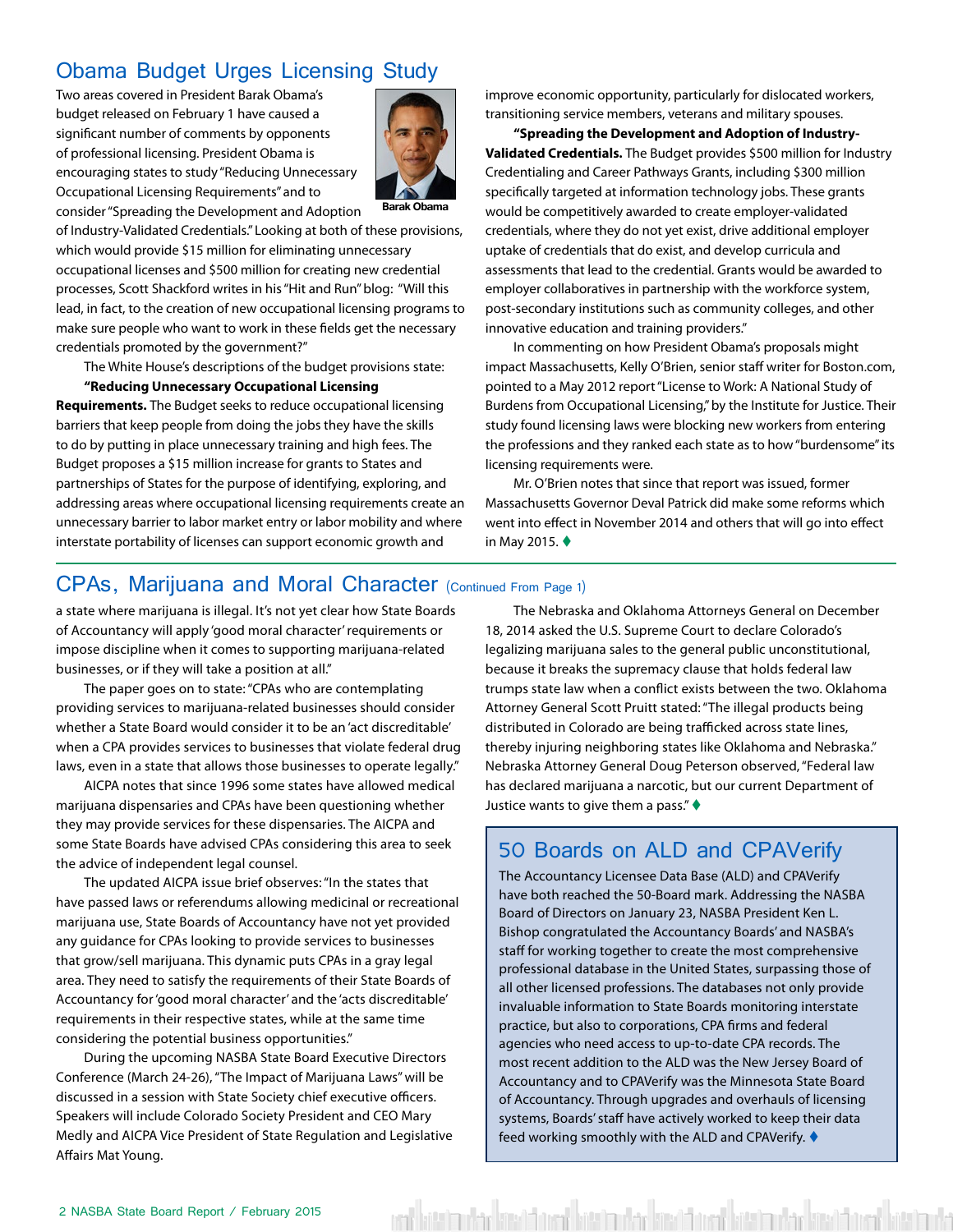#### <span id="page-1-0"></span>Obama Budget Urges Licensing Study

Two areas covered in President Barak Obama's budget released on February 1 have caused a significant number of comments by opponents of professional licensing. President Obama is encouraging states to study "Reducing Unnecessary Occupational Licensing Requirements" and to consider "Spreading the Development and Adoption



**Barak Obama**

of Industry-Validated Credentials." Looking at both of these provisions, which would provide \$15 million for eliminating unnecessary occupational licenses and \$500 million for creating new credential processes, Scott Shackford writes in his "Hit and Run" blog: "Will this lead, in fact, to the creation of new occupational licensing programs to make sure people who want to work in these fields get the necessary credentials promoted by the government?"

The White House's descriptions of the budget provisions state:

**"Reducing Unnecessary Occupational Licensing Requirements.** The Budget seeks to reduce occupational licensing barriers that keep people from doing the jobs they have the skills to do by putting in place unnecessary training and high fees. The Budget proposes a \$15 million increase for grants to States and partnerships of States for the purpose of identifying, exploring, and addressing areas where occupational licensing requirements create an unnecessary barrier to labor market entry or labor mobility and where interstate portability of licenses can support economic growth and

improve economic opportunity, particularly for dislocated workers, transitioning service members, veterans and military spouses.

**"Spreading the Development and Adoption of Industry-Validated Credentials.** The Budget provides \$500 million for Industry Credentialing and Career Pathways Grants, including \$300 million specifically targeted at information technology jobs. These grants would be competitively awarded to create employer-validated credentials, where they do not yet exist, drive additional employer uptake of credentials that do exist, and develop curricula and assessments that lead to the credential. Grants would be awarded to employer collaboratives in partnership with the workforce system, post-secondary institutions such as community colleges, and other innovative education and training providers."

In commenting on how President Obama's proposals might impact Massachusetts, Kelly O'Brien, senior staff writer for Boston.com, pointed to a May 2012 report "License to Work: A National Study of Burdens from Occupational Licensing," by the Institute for Justice. Their study found licensing laws were blocking new workers from entering the professions and they ranked each state as to how "burdensome" its licensing requirements were.

Mr. O'Brien notes that since that report was issued, former Massachusetts Governor Deval Patrick did make some reforms which went into effect in November 2014 and others that will go into effect in May 2015. $\blacklozenge$ 

#### CPAs, Marijuana and Moral Character (Continued From Page 1)

a state where marijuana is illegal. It's not yet clear how State Boards of Accountancy will apply 'good moral character' requirements or impose discipline when it comes to supporting marijuana-related businesses, or if they will take a position at all."

The paper goes on to state: "CPAs who are contemplating providing services to marijuana-related businesses should consider whether a State Board would consider it to be an 'act discreditable' when a CPA provides services to businesses that violate federal drug laws, even in a state that allows those businesses to operate legally."

AICPA notes that since 1996 some states have allowed medical marijuana dispensaries and CPAs have been questioning whether they may provide services for these dispensaries. The AICPA and some State Boards have advised CPAs considering this area to seek the advice of independent legal counsel.

The updated AICPA issue brief observes: "In the states that have passed laws or referendums allowing medicinal or recreational marijuana use, State Boards of Accountancy have not yet provided any guidance for CPAs looking to provide services to businesses that grow/sell marijuana. This dynamic puts CPAs in a gray legal area. They need to satisfy the requirements of their State Boards of Accountancy for 'good moral character' and the 'acts discreditable' requirements in their respective states, while at the same time considering the potential business opportunities."

During the upcoming NASBA State Board Executive Directors Conference (March 24-26), "The Impact of Marijuana Laws" will be discussed in a session with State Society chief executive officers. Speakers will include Colorado Society President and CEO Mary Medly and AICPA Vice President of State Regulation and Legislative Affairs Mat Young.

The Nebraska and Oklahoma Attorneys General on December 18, 2014 asked the U.S. Supreme Court to declare Colorado's legalizing marijuana sales to the general public unconstitutional, because it breaks the supremacy clause that holds federal law trumps state law when a conflict exists between the two. Oklahoma Attorney General Scott Pruitt stated: "The illegal products being distributed in Colorado are being trafficked across state lines, thereby injuring neighboring states like Oklahoma and Nebraska." Nebraska Attorney General Doug Peterson observed, "Federal law has declared marijuana a narcotic, but our current Department of Justice wants to give them a pass." $\blacklozenge$ 

#### 50 Boards on ALD and CPAVerify

The Accountancy Licensee Data Base (ALD) and CPAVerify have both reached the 50-Board mark. Addressing the NASBA Board of Directors on January 23, NASBA President Ken L. Bishop congratulated the Accountancy Boards' and NASBA's staff for working together to create the most comprehensive professional database in the United States, surpassing those of all other licensed professions. The databases not only provide invaluable information to State Boards monitoring interstate practice, but also to corporations, CPA firms and federal agencies who need access to up-to-date CPA records. The most recent addition to the ALD was the New Jersey Board of Accountancy and to CPAVerify was the Minnesota State Board of Accountancy. Through upgrades and overhauls of licensing systems, Boards' staff have actively worked to keep their data feed working smoothly with the ALD and CPAVerify.  $\blacklozenge$ 

ent kött im vinnist kött för att kött in vinnist kött av in vinnist kött i sem i kött af kött innis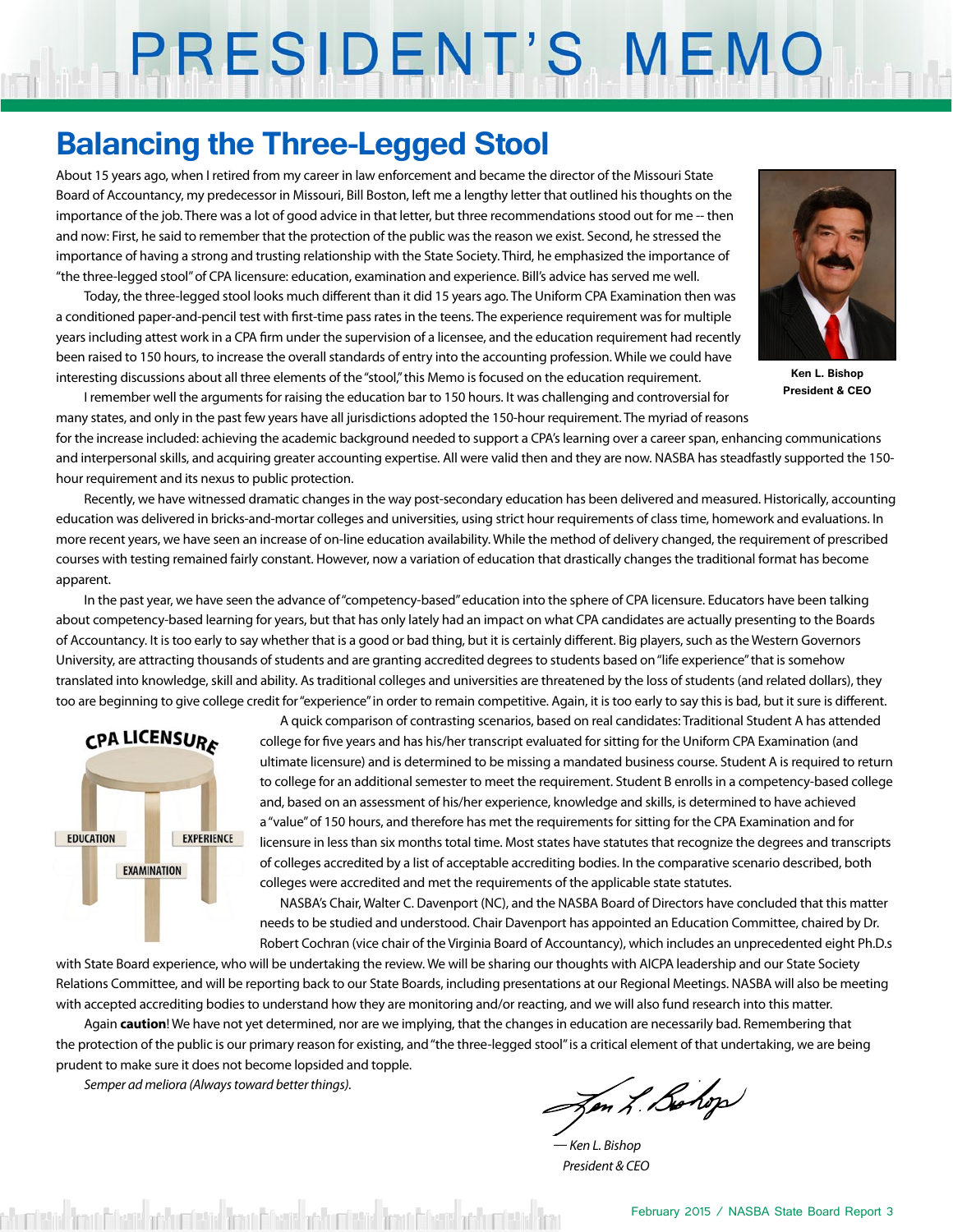# PRESIDENT'S MEMO

## **Balancing the Three-Legged Stool**

About 15 years ago, when I retired from my career in law enforcement and became the director of the Missouri State Board of Accountancy, my predecessor in Missouri, Bill Boston, left me a lengthy letter that outlined his thoughts on the importance of the job. There was a lot of good advice in that letter, but three recommendations stood out for me -- then and now: First, he said to remember that the protection of the public was the reason we exist. Second, he stressed the importance of having a strong and trusting relationship with the State Society. Third, he emphasized the importance of "the three-legged stool" of CPA licensure: education, examination and experience. Bill's advice has served me well.

Today, the three-legged stool looks much different than it did 15 years ago. The Uniform CPA Examination then was a conditioned paper-and-pencil test with first-time pass rates in the teens. The experience requirement was for multiple years including attest work in a CPA firm under the supervision of a licensee, and the education requirement had recently been raised to 150 hours, to increase the overall standards of entry into the accounting profession. While we could have interesting discussions about all three elements of the "stool," this Memo is focused on the education requirement.



**Ken L. Bishop President & CEO**

I remember well the arguments for raising the education bar to 150 hours. It was challenging and controversial for many states, and only in the past few years have all jurisdictions adopted the 150-hour requirement. The myriad of reasons for the increase included: achieving the academic background needed to support a CPA's learning over a career span, enhancing communications and interpersonal skills, and acquiring greater accounting expertise. All were valid then and they are now. NASBA has steadfastly supported the 150 hour requirement and its nexus to public protection.

Recently, we have witnessed dramatic changes in the way post-secondary education has been delivered and measured. Historically, accounting education was delivered in bricks-and-mortar colleges and universities, using strict hour requirements of class time, homework and evaluations. In more recent years, we have seen an increase of on-line education availability. While the method of delivery changed, the requirement of prescribed courses with testing remained fairly constant. However, now a variation of education that drastically changes the traditional format has become apparent.

In the past year, we have seen the advance of "competency-based" education into the sphere of CPA licensure. Educators have been talking about competency-based learning for years, but that has only lately had an impact on what CPA candidates are actually presenting to the Boards of Accountancy. It is too early to say whether that is a good or bad thing, but it is certainly different. Big players, such as the Western Governors University, are attracting thousands of students and are granting accredited degrees to students based on "life experience" that is somehow translated into knowledge, skill and ability. As traditional colleges and universities are threatened by the loss of students (and related dollars), they too are beginning to give college credit for "experience" in order to remain competitive. Again, it is too early to say this is bad, but it sure is different.



A quick comparison of contrasting scenarios, based on real candidates: Traditional Student A has attended college for five years and has his/her transcript evaluated for sitting for the Uniform CPA Examination (and ultimate licensure) and is determined to be missing a mandated business course. Student A is required to return to college for an additional semester to meet the requirement. Student B enrolls in a competency-based college and, based on an assessment of his/her experience, knowledge and skills, is determined to have achieved a "value" of 150 hours, and therefore has met the requirements for sitting for the CPA Examination and for licensure in less than six months total time. Most states have statutes that recognize the degrees and transcripts of colleges accredited by a list of acceptable accrediting bodies. In the comparative scenario described, both colleges were accredited and met the requirements of the applicable state statutes.

NASBA's Chair, Walter C. Davenport (NC), and the NASBA Board of Directors have concluded that this matter needs to be studied and understood. Chair Davenport has appointed an Education Committee, chaired by Dr. Robert Cochran (vice chair of the Virginia Board of Accountancy), which includes an unprecedented eight Ph.D.s

with State Board experience, who will be undertaking the review. We will be sharing our thoughts with AICPA leadership and our State Society Relations Committee, and will be reporting back to our State Boards, including presentations at our Regional Meetings. NASBA will also be meeting with accepted accrediting bodies to understand how they are monitoring and/or reacting, and we will also fund research into this matter.

Again **caution**! We have not yet determined, nor are we implying, that the changes in education are necessarily bad. Remembering that the protection of the public is our primary reason for existing, and "the three-legged stool" is a critical element of that undertaking, we are being prudent to make sure it does not become lopsided and topple.

*Semper ad meliora (Always toward better things).*

Jen L. Bohop

*— Ken L. Bishop President & CEO*

shumberida dimatit barish shikumbatida dimatit kata dan barish da barish da da da barish da barish da barish d